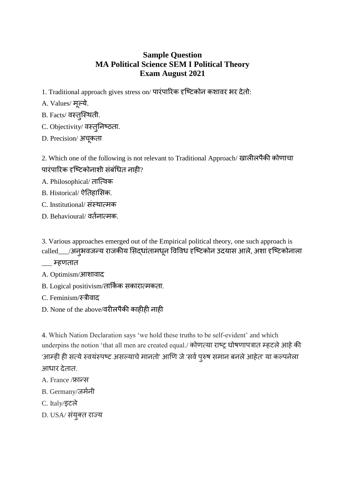## **Sample Question MA Political Science SEM I Political Theory Exam August 2021**

- 1. Traditional approach gives stress on/ पारंपाररक दृष्टिकोन कशावर भर देतो:
- A. Values/ मूल्ये.
- B. Facts/ वस्तुस्थिती.
- C. Objectivity/ वस्तूनिष्ठता.
- D. Precision/ अचूकता

2. Which one of the following is not relevant to Traditional Approach/ खालीलपैकी कोणाचा पारंपाररक दृष्टिकोनाशी संबंधित नाही?

- A. Philosophical/ तात्विक
- B. Historical/ ऐनतहाससक.
- C. Institutional/ संस्िावमक
- D. Behavioural/ वततनावमक.

3. Various approaches emerged out of the Empirical political theory, one such approach is called\_\_\_/अनुभवजन्य राजकीय ससदिांतामिनू ववववि दृष्टिकोन उदयास आले, अशा दृष्टिकोनाला

- \_\_\_ म्हणतात
- A. Optimism/आशावाद
- B. Logical positivism/तार्किक सकारात्मकता.
- C. Feminism/स्रीवाद
- D. None of the above/वरीलपैकी काहीही नाही

4. Which Nation Declaration says 'we hold these truths to be self-evident' and which underpins the notion 'that all men are created equal./ कोणत्या राष्ट्र घोषणापत्रात म्हटले आहे की 'आम्ही ही सत्ये स्वयंस्पष्ट असल्याचे मानतो' आणि जे 'सर्व पुरुष समान बनले आहेत' या कल्पनेला आधार देतात.

- A. France /फ्रान्स
- B. Germany/जर्मनी
- C. Italy/इिले
- D. USA/ संयुक्त राज्य